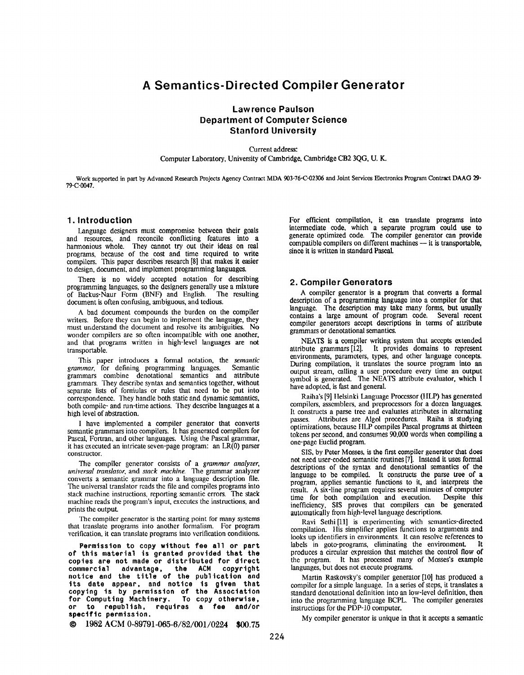# A Semantics-Directed Compiler Generator

# Lawrence Paulson Department of Computer Science Stanford University

Current address: Computer Laboratory, University of Cambridge, Cambridge CB2 3QG, U. K.

Work supported in part by Advanced Research Projects Agency Contract MDA 903-76-C-02306 and Joint Services Electronics Program Contract DAAG 29-

# 1. Introduction

79-C4047.

Language designers must compromise between their goals and resources, and reconcile conflicting features into a harmonious whole. They cannot try out their ideas on real programs, because of the cost and time required to write compilers. This paper describes research [8] that makes it easier to design, document, and implement programming languages.

There is no widely accepted notation for describing programming languages, so the designers generally use a mixture<br>of Backus-Naur Form (BNF) and English. The resulting of Backus-Naur Form (BNF) and English. document is often confusing, ambiguous, and tedious.

A bad document compounds the burden on the compiler writers. Before they can begin to implement the language, they must understand the document and resolve its ambiguities. No wonder compilers are so often incompatible with one another, and that programs written in high-level languages are not transportable.

This paper introduces a formal notation, the semantic grammar, for defining programming languages. Semantic grammars combine denotational semantics and attribute grammars. They describe syntax and semantics together, without separate lists of formulas or rules that need to be put into correspondence. They handle both static and dynamic semantics, both compile- and run-time actions. 'Ihey describe languages at a high level of abstraction.

I have implemented a compiler generator that converts semantic grammars into compilers. It has generated compilers for Pascal, Fortran, and other languages. Using the Pascal grammar, it has executed an intricate seven-page program: an LR(0) parser constructor.

The compiler generator consists of a *grammar analyzer*, universal translator, and stack machine. The grammar analyzer converts a semantic grammar into a Ianguagc description file. The universal translator reads the file and compiles programs into stack machine instructions, reporting semantic errors. The stack machine reads the program's input, executes the instructions, and prints the output-

The compiler generator is the starting point for many systems that translate programs into another formalism. For program verification, it can translate programs into verification conditions.

Permission to copy without fee all or part of this material is granted provided that th copies are not made or distributed for dire commercial advantage, the ACM copyri notice and the title of the publication and its date appear, and notice is given that copying is by permission of the Association<br>for Computing Machinery. To copy otherwise,<br>or to republish, requires a fee and/or for Computing Machinery. To copy otherwi or to republish, requiras a fee and/ specific permission.

 $\odot$  1982 ACM 0-89791-065-6/82/001/0224 \$00.75

For efficient compilation, it can translate programs into intermediate code, which a separate program could use to generate optimized code. The compiler generator can provide compatible compilers on different machines — it is transportable, since it is written in standard Pascal.

# 2. Compiler Generators

A compiler generator is a program that converts a formaf description of a programming language into a compiler for that language. The description may take many forms, but usually contains a large amount of program code. Several recent compiler generators accept descriptions in terms of attribute grammars or denotational semantics,

NEATS is a compiler writing system that accepts extended attribute grammars [12]. It provides domains to represent environments, parameters, types, and other language concepts. During compilation, it translates the source program into an output stream, calling a user procedure every time an output symbol is generated. 'fhe NEATS attribute evaluator, which I have adopted, is fast and general.

Raiha's [9] Helsinki Language Processor (IILP) has genenrted compilers, assemblers, and preprocessors for a dozen languages. It constructs a parse tree and evaluates attributes in alternating<br>passes. Attributes are Algol procedures. Raiha is studying Attributes are Algol procedures. Raiha is studying optimizations, because HLP compiles Pascal programs at thirteen tokens pcr second, and consumes 90,000 words when compiling a one-page Euclid program.

S1S, by Peter Mosses, is the first compiler generator that does not need user-coded semantic routines [7]. Instead it uses formal descriptions of the syntax and denotational semantics of the language to be compiled. It constructs the parse tree of a program, applies semantic functions to it, and interprets the result. A six-line program requires several minutes of computer time for both compilation and execution. Despite this inefficiency, S1S proves that compilers can be generated automatically from high-level language descriptions.

Ravi Sethi[ll] is experimenting with semantics-directed compilation. IIis simplifier applies functions to arguments and looks up identifiers in environments. It can resolve references to labels in goto-programs, eliminating the environment. It labels in goto-programs, eliminating the environment. produces a circular expression that matches the control flow of the program. It has processed many of Mosses's example languages, but does not execute programs.

Martin Raskovsky's compiler generator [10] has produced a compiler for a simple language. In a series of steps, it translates a standard dcnotational definition into an low-level definition, then into the programming language BCPL. The compiler generates instructions for the PDP- $10$  computer.

My compiler generator is unique in that it accepts a semantic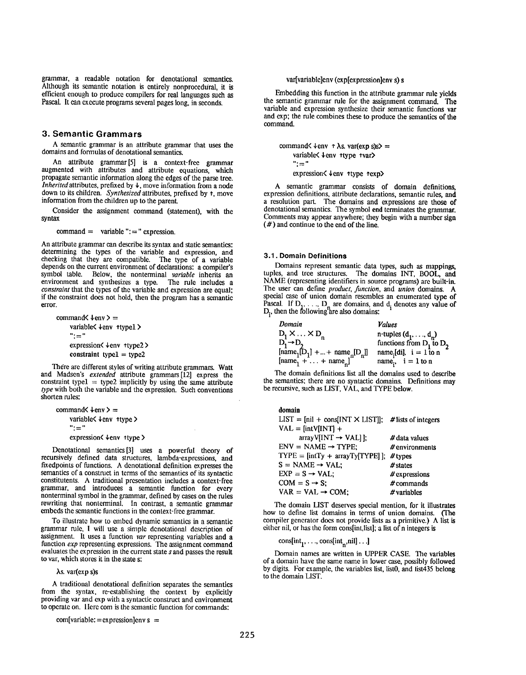grammar, a readable notation for denotational semantics. Although its semantic notation is entirely nonprocedural, it is efficient enough to produce compilers for real Languages such as Pascal. It can execute programs several pages long, in seconds.

# 3. Semantic Grammars

A semantic grammar is an attribute grammar that uses the domains and formulas of denotational semantics.

An attribute grammar [5] is a context-free gramma augmented with attributes and attribute equations, which propagate semantic information along the edges of the parse tree. Inherited attributes, prefixed by  $\downarrow$ , move information from a node down to its children. Synthesized attributes, prefixed by  $\uparrow$ , move information from the children up to the parent.

Consider the assignment command (statement), with the syntax

 $command = variable$  ":=" expression.

An attribute grammar can describe its syntax and static semantics: determining the types of the variable and expression, and checking that they are compatible. The type of a variable depends on the current environment of declarations: a compiler's<br>symbol table. Below, the nonterminal *variable* inherits an Below, the nonterminal variable inherits and synthesizes a type. The rule includes a environment and synthesizes a type. constraint that the types of the variable and expression are equal; if the constraint does not hold, then the program has a semantic error.

command $\langle \text{tenv} \rangle$  = variable< \tenv ttypel >  $" := "$ expression<  $\downarrow$  env  $\uparrow$  type2 > constraint type $1 =$  type $2$ 

There are different styles of writing attribute grammars. Watt and Madsen's extended attribute grammars [12] express the constraint type $1 =$  type $2$  implicitly by using the same attribute type with bolh the variable and the expression. Such conventions shorten rules:

```
command\langle \downarrowenv\rangle =
     variable< \text{km} type >
     ":="expression< \text{km } \text{type }
```
Denotational semantics [3] uses a powerful theory of recursively defined data structures, lambda-expressions, and fixedpoints of functions. A denotational definition expresses the semantics of a construct in tcrrns of the semantics of its syntactic constituents. A traditional presentation includes a context-free grammar, and introduces a semantic function for every nonterminal symbol in the grammar, defined by cases on the rules rewriting that nonterminal. In contrast, a semantic grammar embeds the semantic functions in the context-free grammar.

TO illustrate how to embed dynamic semantics in a semantic grammar rule, I will use a simple dcnotational description of assignment. It uses a function var representing variables and a function *exp* representing expressions. The assignment command evaluates the expression in the current state s and passes the result to var, which stores it in the state s:

#### As. var(exp S)S

A traditional denotational definition separates the semantics from the syntax, re-establishing the context by explicitly providing var and exp with a syntactic construct and environment to operate on. 1Ierc com is the semantic function for commands:

 $com[variable: = expression]env s =$ 

# var[variable]env (exp[expression]env s) s

Fmbedding this function in the attribute grammar rule yields the semantic grammar rule for the assignment command, The variable and expression synthesize their semantic functions var and exp; the rule combines these to produce the semantics of the command.

command $\langle \text{tenv } \uparrow \lambda \text{s}$ . var(exp s)s $\rangle$  = variable< \ \ env \ \type \ \tyar \  $"$  :  $=$  " expression $\langle \downarrow$ env ttype texp $\rangle$ 

A semantic grammar consists of domain definitions, expression definitions, attribute declarations, semantic rules, and a resolution part. The domains and expressions are those of denotational semantics. The symbol end terminates the grammar. Comments may appear anywhere; they begin with a number sign (#) and continue to the end of the line.

### 3.1. Domain Definitions

Domains represent semantic data types, such as mappings, tuples, and tree structures. The domains INT, BOOL, and NAME (representing identifiers in source programs) arc built-in. The user can define *product*, *function*, and *union* domains. A special case of union domain resembles an enumerated type of Pascal. If  $D_1, \ldots, D_n$  are domains, and d. denotes any value of  $D<sub>i</sub>$ , then the following are also domain

| Domain                                                                                                                                        | <b>Values</b>                        |
|-----------------------------------------------------------------------------------------------------------------------------------------------|--------------------------------------|
| $D_1 \times \ldots \times D_n$                                                                                                                | n-tuples $(d_1, , d_n)$              |
| $D_1 \rightarrow D_2$                                                                                                                         | functions from $D_1$ to $D_2$        |
|                                                                                                                                               | name <sub>i</sub> [di], $i = 1$ to n |
| $\begin{array}{l}\n[\text{name}_1[\mathbf{\tilde{D}}_1] +  + \text{name}_n[\mathbf{D}_n]] \\ [\text{name}_1 +  + \text{name}_n]\n\end{array}$ | name <sub>i</sub> , $i = 1$ to n     |

The domain definitions fist all the domains used to describe the semantics; there are no syntactic domains. Definitions may be recursive, such as LIST, VAL, and TYPE below.

| domain                                                      |                  |
|-------------------------------------------------------------|------------------|
| $LIST = [nil + cons[INT \times LIST]];$ # lists of integers |                  |
| $VAL = [intV[INT] +$                                        |                  |
| $arrayV(INT \rightarrow VAL1$ :                             | # data values    |
| $ENV = NAME \rightarrow TYPE:$                              | $#$ environments |
| $TYPE = [intTy + arrayTy(TYPE)].$                           | $#$ types        |
| $S = NAME \rightarrow VAL$ :                                | $#$ states       |
| $EXP = S \rightarrow VAL$ :                                 | $#$ expressions  |
| $COM = S \rightarrow S$ :                                   | $#$ commands     |
| $VAR = VAL \rightarrow COM:$                                | # variables      |

The domain LIST deserves special mention, for it illustrates how to define list domains in terms of union domains. (The compiler generator does not provide lists as a primitive.) A list is either nil, or has the form cons[int,list]; a list of n integers is

cons[int<sub>1</sub>, ..., cons[int<sub>n</sub>,nil]...]

Domain names are written in UPPER CASE. The variables of a domain have the same name in lower case, possibly followed by digits. For example, the variables list, listO, and 1ist435 belong to the domain LIST.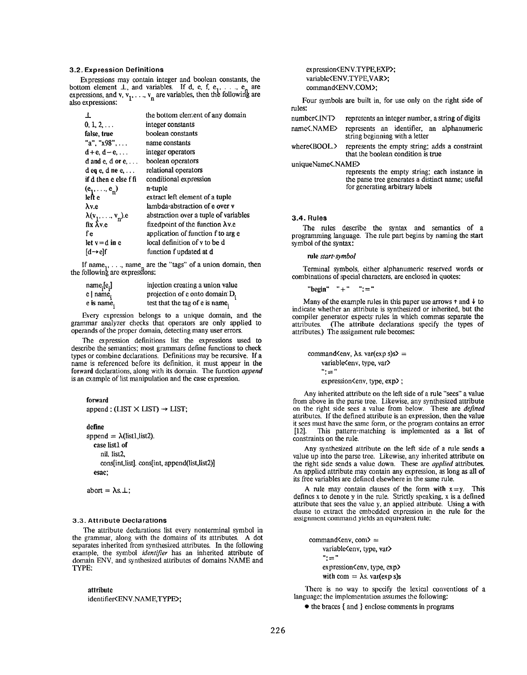# 3.2. Expression Definitions

Expressions may contain integer and boolean constants, the bottom element  $\perp$ , and variables. If d, e, i, e<sub>1</sub>, ..., e<sub>n</sub> are expressions, and v,  $v_1, \ldots, v_n$  are variables, then the following are also expressions: '

| ⊥                              | the bottom element of any domain          |
|--------------------------------|-------------------------------------------|
| $0, 1, 2, \ldots$              | integer constants                         |
| false, true                    | boolean constants                         |
| "a". " $x98$ "                 | name constants                            |
| $d+e, d-e, \ldots$             | integer operators                         |
| d and $e$ , d or $e$ ,         | boolean operators                         |
| $d$ eq e, d ne e,              | relational operators                      |
| if d then e else f fi          | conditional expression                    |
| $(e_1, \ldots, e_n)$           | n-tuple                                   |
| left e                         | extract left element of a tuple           |
| $\lambda v.e$                  | lambda-abstraction of e over v            |
| $\lambda(v_1, \ldots, v_n)$ .e | abstraction over a tuple of variables     |
| $fix$ $\bar{\lambda}$ v.e      | fixed point of the function $\lambda v.e$ |
| f e                            | application of function f to arg e        |
| let $v = d$ in e               | local definition of y to be d             |
| Id→elf                         | function f updated at d                   |

If name<sub>1</sub>, ..., name<sub>n</sub> are the "tags" of a union domain, then the following are expressions:

| $name_i[e_i]$           | injection creating a union value |
|-------------------------|----------------------------------|
| $e$   name <sub>;</sub> | projection of e onto domain D.   |
| e is name.              | test that the tag of e is name,  |

Every expression belongs to a unique domain, and the grammar analyzer checks that operators are only applied to operands of the proper domain, detecting many user errors.

The expression definitions list the expressions used to describe the semantics; most grammars define functions to check types or combine declarations. Definitions may be recursive. If a name is referenced before its definition, it must appear in the forward declarations, along with its domain. The function append is an example of list manipulation and the case expression.

#### forward

append: (LIST  $\times$  LIST)  $\rightarrow$  LIST;

define

append =  $\lambda$ (list1,list2). case listl of nil. list2, Consfint,list]. cons[int, append(list,list2)] esac;

```
abort = \lambdas. \perp;
```
### 3.3. Attribute Declarations

The attribute declarations list every nonterminal symbol in the grammar, along with the domains of its attributes. A dot separates inherited from synthesized attributes. In the following example, the symbol *identifier* has an inherited attribute of domain ENV, and synthesized attributes of domains NAME and TYPE:

### attribute

identifier<ENV.NAME,TYPE>;

expression<ENV.TYPE,EXP>; variable<ENV.TYPE,VAR>; command<ENV.COM>;

Four symbols are built in, for use only on the right side of rules

| number<.INT                    |  |  | represents an integer number, a string of digits |
|--------------------------------|--|--|--------------------------------------------------|
| name<.NAME>                    |  |  | represents an identifier, an alphanumeric        |
| string beginning with a letter |  |  |                                                  |

where $\triangle BOOL$ . represents the empty string; adds a constraint that the boolean condition is true

uniqueName<.NAME>

represents the empty string: each instance in the parse tree generates a distinct name; useful for generating arbitrary labels

#### 3.4. Rules

The rules describe the syntax and semantics of a programming language. The tule part begins by naming the start symbol of the syntax:

rule start-symbol

Terminal symbols, either alphanumeric reserved words or combinations of special characters, are enclosed in quotes:

"begin"  $" +" " :="$ 

Many of the example rules in this paper use arrows  $\uparrow$  and  $\downarrow$  to indicate whether an attribute is synthesized or inherited, but the compiler generator expects rules in which commas separate the attributes. (The attribute declarations specify the types of (The attribute declarations specify the types of attributes.) The assignment rule becomes:

command $\langle env, \lambda s. var(exp s) s \rangle$  = variable<env, type, var>  $"$  :  $-"$ expression<env, type, exp>;

Any inherited attribute on the left side of a rule "sees" a value from above in the parse tree. Likewise, any synthesized attribut on the right side sees a value from below. These are *defined* attributes. If the defined attribute is an expression, then the value it sees must have the same form, or the program contains an error [12]. This pattern-matching is implemented as a list of constraints on the rule.

Any synthesized attribute on the left side of a rule sends a value up into the parse tree. Likewise, any inherited attribute on the right side sends a value down. These are *applied* attributes. An applied attribute may contain any expression, as long as all of its free variables are defined elsewhere in the same rule.

A rule may contain clauses of the form with  $x = y$ . This defines x to denote y in the rule. Strictly speaking, x is a defined attribute that sees the value y. an applied altribute. Using a with clause to extract the embedded expression in the rule for the assignment command yields an equivalent rule:

command $\langle$ env, com $\rangle$  = variable<env, type, var> ..<br>... expression<env, type, exp> with com =  $\lambda$ s. var(exp s)s

There is no way to specify the lexical conventions of a language; the implementation assumes the following:

 $\bullet$  the braces { and } enclose comments in programs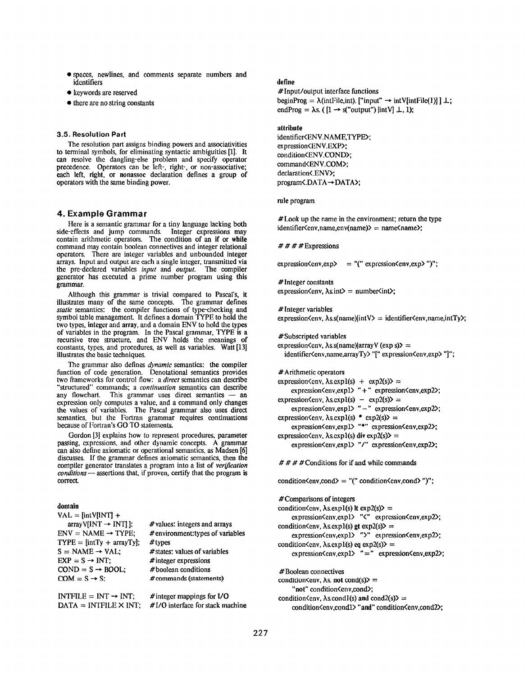- spaces, newlines, and comments separate numbers and identifiers
- keywords are reserved
- there are no string constants

#### 3.5. Resolution Part

The resolution part assigns binding powers and associativities to terminal symbols, for eliminating syntactic ambiguities [1]. It can resolve the dangling-else problem and specify operator precedence. Operators can be left-, right-, or non-associative; each left, right, or nonassoc declaration defines a group of operators with the same binding power.

# 4. Example Grammar

Here is a semantic grammar for a tiny language lacking both side-effects and jump commands. Integer expressions may contain arithmetic operators. The condition of an if or while command may contain boolean connectives and integer relational operators. There are integer variables and unbounded integer arrays. Input and output arc each a single integer, transmitted via the pre-declared variables input and  $output$ . The compiler generator has executed a prime number program using this grammar.

Although this grammar is trivial compared to Pascal's, it illustrates many of the same concepts. The grammar defines static semantics: the compiler functions of type-checking and symbol table management. It defines a domain TYPE to hold the two types, integer and array, and a domain ENV to hold the types of variables in the program. In the Pascal grammar, TYPE is a recursive tree structure, and ENV holds the meanings of constants, types, and procedures, as well as variables. Watt [13] illustrates the basic techniques,

The grammar also defines *dynamic* semantics: the compiler function of code generation. Denotational semantics provides two frameworks for control flow: a direct semantics can describe "structured" commands; a *continuation* semantics can describe any flowchart. This grammar uses direct semantics — an This grammar uses direct semantics  $-$  an expression only computes a value, and a command only changes the values of variables. The PaseaI grammar also uses direct semantics, but the Fortran grammar requires continuations because of Fortran's GO TO statements.

Gordon [3] explains how to represent procedures, parameter passing, expressions, and other dynamic concepts. A grammar can also define axiomatic or operational semantics, as Madsen [6] discusses. If the grammar detines axiomatic semantics, then the compiler generator translates a program into a list of *verification* conditions — assertions that, if proven, certify that the program is - assertions that, if proven, certify that the program is correct

# domain

| $VAL = [intV[INT] +$           |                                   |
|--------------------------------|-----------------------------------|
| $arrayV[INT \rightarrow INT];$ | # values: integers and arrays     |
| $ENV = NAME \rightarrow TYPE:$ | # environment: types of variables |
| $TYPE = [intTy + arrayTy]$     | $\#$ types                        |
| $S = NAME \rightarrow VAL$ :   | # states: values of variables     |
| $EXP = S \rightarrow INT$ :    | $#$ integer expressions           |
| $COND = S \rightarrow BOOL$ :  | #boolean conditions               |
| $COM = S \rightarrow S$ :      | # commands (statements)           |
|                                |                                   |
|                                |                                   |

INTFILE = INT  $\rightarrow$  INT; # integer mappings for I/O DATA = INTFILE  $\times$  INT; #I/O interface for stack machine

# define

#Input/output interface functions beginProg =  $\lambda$ (intFile,int). ["input"  $\rightarrow$  intV[intFile(1)] ]  $\perp$ ; endProg =  $\lambda$ s. ( [1  $\rightarrow$  s("output") |intV[  $\perp$ , 1);

### attribute

identifier<ENV.NAME,TYPE>; expression<ENV.EXP>; condition<ENV.COND>; command<ENV.COM>; declaration <. ENV>; programく.DATA→DATA>;

rule program

#Look up the name in the environment; return the type  $identity$ identifier<cnv, name, env(name) $\rangle$  = name<name);

# #  $\#$  # Expressions

 $expression\langle env, exp \rangle = "("expression\langle env, exp \rangle")$ ";

#Integer constants expression $\langle env, \lambda \sin \theta \rangle = number \langle int \rangle$ ;

#Integer variables expression<env,  $\lambda$ s.s(name)|intV> = identifier<env, name, intTy>;

#Subscripted variables expression $\langle$ env,  $\lambda$ s.s(name)|arrayV (exp s) $\rangle =$ identifier<env, name, arrayTy> "[" expression<env, exp> "]";

#Arithmetic operators expression<cnv,  $\lambda$ s.expl(s) + exp2(s)> = expression<env,exp1> "+" expression<env,exp2>; expression<env, As.cxpl(s) – exp2(s)> = expression<env, expl> "–" expression< env,exp2>; expression $\langle env, \lambda s. exp1(s) * exp2(s) \rangle =$ expression<env,expl> "\*" expression<env,exp2>; expression<env,  $\lambda$ s.expl(s) div exp2(s)> = expression<env,expl> "/" expression<env,exp2>;

 $# # # +$ Conditions for if and while commands

condition $\langle env, cond \rangle = "(" condition \langle env, cond \rangle")$ ";

#Comparisons of integers condition  $\langle env, \lambda s. exp1(s) \rangle$  t  $exp2(s)$  = expression<env,exp1> "<" expression<env,exp2>; condition<env,  $\lambda$ s.expl(s) gt exp2(s)> = expression<env,exp1> ">" expression<env,exp2>; condition $\langle env, \lambda s. exp1(s) \rangle$  eq exp2(s) $\rangle$  =  $expression\langle env, exp12 \rangle$  "="  $expression\langle env, exp22 \rangle$ ;

#Boolean connectives condition $\langle env, \lambda s \rangle$  not cond(s) $\ge$  = "not" condition<env,cond>; condition  $\langle env, \lambda s. \text{cond1(s)} \rangle$  and  $\langle cond2(s) \rangle =$ condition<cnv,cond1> "and" condition<cnv,cond2>;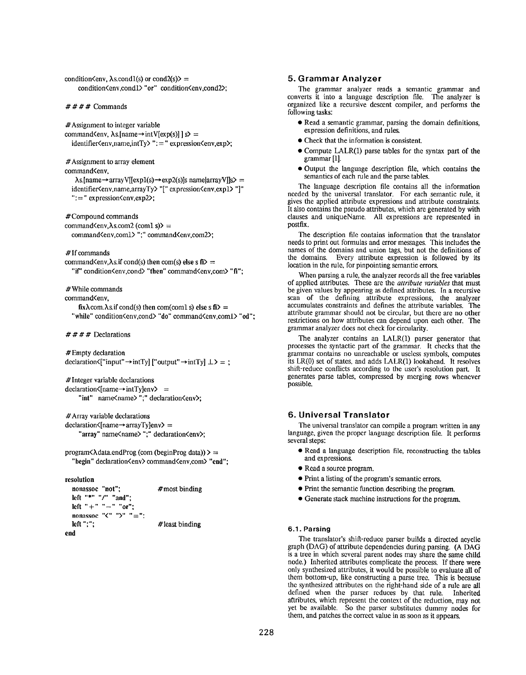condition $\langle env, \lambda s, cond1(s) \rangle$  or cond $2(s)$  = condition<env.condl> "or" condition<env.cond2>;

 $# # # #$  Commands

#Assignment to integer variable command<br/>Senv,  $\lambda$ s.[name $\rightarrow$ intV[exp(s)] ]s> = identifier<env, name,intTy> ":=" expression<env,exp>;

#Assignment to array element

command<env,

 $\lambda$ s.[name  $\rightarrow$  array V[[exp1(s)  $\rightarrow$  exp2(s)]s name[array V]]s> = identifier<env, name,arrayTy> "[" expression<env, expl> "]"  $" := "expression \langle env, exp2 \rangle;$ 

#Compound commands

command $\langle env, \lambda s, com2 (com1 s) \rangle =$ command<env,com1> ";" command<env,com2>;

#If commands

command<env,  $\lambda$ s. if cond(s) then com(s) else s fi $\lambda$  = "if" condition<env,cond> "then" command<env,com> "fi";

#While commands

command<env.

 $fix\lambda$ com. $\lambda$ s.if cond(s) then com(coml s) else s  $fi$  $>$  = "while" condition<env,cond> "do" command<env,coml> "od";

#### $# # # # Declarations$

#Empty declaration  $\text{declaration}\left\{ \text{"input"} \rightarrow \text{int}\left\{ \text{"output"} \rightarrow \text{int}\left\{ \text{rj} \right\} \perp \right\} = ;$ 

# Integer variable declarations  $\text{declaration} \langle \text{name} \rightarrow \text{intTy} \text{lenv} \rangle =$ "int" name<name> ";" declaration<env>;

#Array variable declarations  $\text{declaration}\langle \text{Iname} \rightarrow \text{array}\langle \text{Iylenv} \rangle =$ "array" name<name> ";" declaration<env>;

 $program\lambda data.endProg$  (com (beginProg data)) > = "begin" declaration<env> command<env,com> "end";

resolution

```
nonassoc "not"; #most binding
 left "*" "/" "and";
 left "+" "-" "or":
 nonassoc "\zeta" "\zeta" "=";
 left ";"; # least binding
end
```
### 5. Grammar Analyzer

The grammar analyzer reads a semantic grammar and converts it into a language description file. The analyzer is organized like a recursive descent compiler, and performs the following tasks:

- . Read a semantic grammar, parsing the domain definitions, expression definitions, and rules.
- Check that the information is consistent.
- $\bullet$  Compute LALR(1) parse tables for the syntax part of the grammar [1].
- Output the language description file, which contains the semantics of each rule and the parse tables.

The language description file contains all the information needed by the universal translator. For each semantic rule, it gives the applied attribute expressions and attribute constraints. It also contains the pseudo attributes, which are generated by with clauses and uniqueName. All expressions are represented in postfix.

The description file contains information that the translator needs to print out formulas and error messages. This includes the names of the domains and union tags, but not the definitions of the domains. Every attribute expression is followed by its Every attribute expression is followed by its location in the rule, for pinpointing semantic errors.

When parsing a rule, the analyzer records all the free variable of applied attributes. These are the *attribute variables* that mus be given values by appearing as defined attributes. In a recursive scan of the defining attribute expressions, the analyzer accumulates constraints and defines the attribute variables. The attribute grammar should not be circular, but there are no other restrictions on how attributes can depend upon each other. The grammar analyzer does not check for circularity.

The analyzer contains an LALR(l) parser generator that processes the syntactic part of the grammar, It checks that the grammar contains no unreachable or useless symbols, computes its I,R(O) set of states, and adds LALR(l) lookahead. It resolves shift-reduce conflicts according to the user's resolution part. It generates parse tables, compressed by merging rows whenever possible.

# 6. Universal Translator

'Ihe universal translator can compile a program written in any language, given the proper language description file. It performs several steps:

- . Read a language description file, reconstructing the tables and expressions.
- Read a source program.
- Print a listing of the program's semantic errors.
- Print the semantic function describing the program.
- Generate stack machine instructions for the program.

# 6.1. Parsing

The translator's shitt-reduce parser builds a directed acyclic graph (DAG) of attribute dependencies during parsing. (A DAG is a tree in which several parent nodes may share the same child node.) Inherited attributes complicate the process. If there were only synthesized attributes, it would be possible to evaluate all of them bottom-up, like constructing a parse tree. This is because the synthesized attributes on the right-hand side of a rule are all defined when the parser reduces by that rule. Inherited attributes, which represent the context of the reduction, may not yet be available. So the parser substitutes dummy nodes for them, and patches the correct value in as soon as it appears.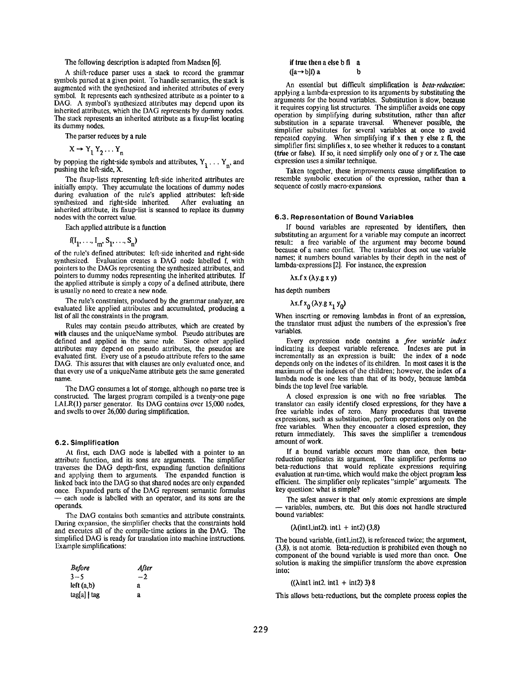#### The following description is adapted from Madsen [6].

A shift-reduce parser uses a stack to record the gramma symbols parsed at a given point. To handle semantics, the stack is augmented with the synthesized and inherited attributes of every symbol. It represents each synthesized attribute as a pointer to a DAG. A symbol's synthesized attributes may depend upon its inherited attributes, which the DAG represents by dummy nodes. The stack represents an inherited attribute as a fixup-list locating its dummy nodes.

The parser reduces by a rule

$$
X \rightarrow Y_1 Y_2 \dots Y_n
$$

by popping the right-side symbols and attributes,  $Y_1 \ldots Y_n$ , and pushing the left-side, X.

The fixup-lists representing left-side inherited attributes are initially empty. They accumulate the locations of dummy nodes during evaluation of the rule's applied attributes: left-side synthesized and right-side inherited. After evaluating an inherited attribute, its fixup-list is scanned to replace its dummy nodes with the correct value.

Each applied attribute is a function

 $\sim$   $\sim$ 

$$
f(I_1, \ldots, I_m, S_1, \ldots, S_n)
$$

of the rule's defined attributes: Icft-side inherited and right-side synthesized. Evaluation creates a DAG node labelled f, with pointers to the DAGs representing the synthesized attributes, and pointers to dummy nodes representing the inherited attributes. If the applied attribute is simply a copy of a defined attribute, there is usually no need to create a new node.

The rule's constraints, produced by the grammar analyzer, are evaluated like applied attributes and accumulated, producing a list of all the constraints in the program.

Rules may contain pseudo attributes, which are created by with clauses and the uniqueName symbol. Pseudo attributes are defined and applied in the same role. Since other applied attributes may depend on pseudo attributes, the pseudos are evaluated first. Every use of a pseudo attribute refers to the same DAG. This assures that with clauses arc only evaluated once, and that every use of a uniqueName attribute gets the same generated name.

The DAG consumes a lot of storage, although no parse tree is constructed. The largest program compiled is a twenty-one page LALR(I) parser generator. Its DAG contains over 15,000 nodes, and swells to over 26,000 during simplification.

#### 6.2. Simplification

At first, each DAG node is labelled with a pointer to an attribute function, and its sons are arguments. The simplifier traverses the DAG depth-first, expanding function definitions and applying them to arguments. The expanded function is linked back into the DAG so that shared nodes arc only expanded once. Expanded parts of the DAG represent semantic formulas — each node is labclled with an operator, and its sons are the operands.

The DAG contains both semantics and attribute constraints. During expansion, the simplifier checks that the constraints hold and executes all of the compile-time actions in the DAG. The simplified DAG is ready for translation into machine instructions. Example simplifications:

| <b>Before</b> | After |
|---------------|-------|
| $3 - 5$       | $-2$  |
| left (a,b)    | a     |
| tag[a]   tag  | a     |

# if true then a else b fi a  $([a \rightarrow b])$ a

An essential but difficult simplification is beta-reduction: applying a Iambda-expression to its arguments by substituting the arguments for the bound variables. Substitution is slow, because it requires copying list structures, The simplifier avoids one copy operation by simplifying during substitution, rather than after substitution in a separate traversal. Whenever possible, the simplifier substitutes for several variables at once to avoid repeated copying. When simplifying if x then y else z fi, the simplifier first simplifies x, to see whether it reduces to a constant (ttie or false). If so, it need simplify only one of y or z. The case expression uses a similar technique.

Taken together, these improvements cause simplification to resemble symbolic execution of the expression, rather than a sequence of costly macro-expansions.

### 6.3. Representation of Bound Variables

If bound variables arc represented by identifiers, then substituting an argument for a variable may compute an incorrect result: a free variable of the argument may become bound because of a name conflict. The translator does not use variable names: it numbers bound variables by their depth in the nest of lambda-expressions [2]. For instance, the expression

 $\lambda$ x.f x ( $\lambda$ y.g x y)

has depth numbers

$$
\lambda x.f x_0 (\lambda y.g x_1 y_0)
$$

When inserting or removing lambdas in front of an expression, the translator must adjust the numbers of the expression's free variables.

Every expression node contains a free variable index indicating its deepest variable reference. Indexes are put in incrementally as an expression is built; the index of a node depends only on the indexes of its children. In most casesit is the maximum of the indexes of the children; however, the index of a lambda node is one less than that of its body, because lambda binds the top level free variable.

A closed expression is one with no free variables, The translator can easily identify closed expressions, for they have a free variable index of zero. Many procedures that traverse expressions, such as substitution, perform operations only on the free variables. When they encounter a closed expression, they return immediately. This saves the simplifier a tremendous This saves the simplifier a tremendous amount of work.

If a bound variable occurs more than once, then betarcduction replicates its argument. The simplifier performs no beta-reductions that would replicate expressions requiring evaluation at run-time, which would make the object program less efficient. The simplifier only replicates "simple" arguments. The key queslion: what is simple?

The safest answer is that only atomic expressions are simple variables, numbers, etc. But this does not handle structured bound variables:

#### $(\lambda(int1, int2). int1 + int2)$  (3,8)

The bound variable, (intl,int2), is referenced twice; the argument, (3,8), is not atomic. Beta-reduction is prohibited even though no component of the bound variable is used more than once. One solution is making the simplifier transform the above expression into:

#### $((\lambda \text{int1 int2. int1 + int2) 3) 8)$

This allows beta-reductions, but the complete process copies the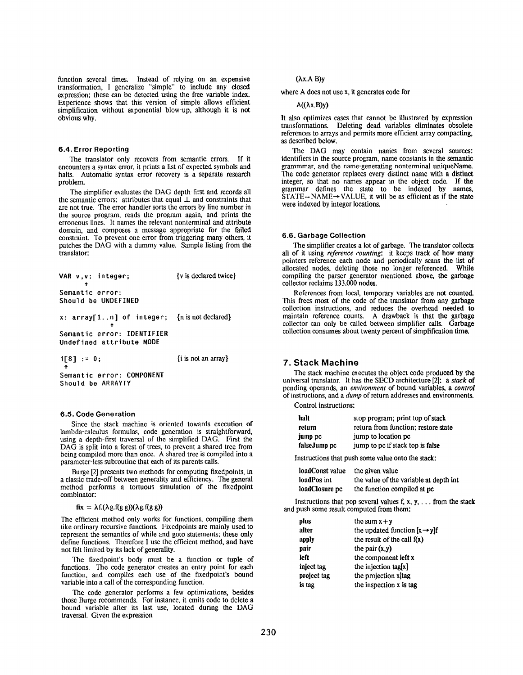function several times. Instead of relying on an expensive transformation, I generalize "simple" to include any closed expression; these can bc detected using the free variable index. Experience shows that this version of simple allows efficient simplification without exponential blow-up, afthough it is not obvious why.

### 6.4. Error Reporting

The translator only recovers from semantic errors. If it encounters a syntax error, it prints a list of expected symbols and halts. Automatic syntax error recovery is a separate research problem.

The simplifier evaluates the DAG depth-first and records all the semantic errors: attributes that equal  $\perp$  and constraints that are not true. The error handler sorts the errors by line number in the source program, reads the program again, and prints the erroneous lines. It names the relevant nontcrminal and attribute domain, and composes a message appropriate for the failed constraint. To prevent one error from triggering many others, it patches the DAG with a dummy value. Sample listing from the translator

| VAR v.v: integer;                                                   | $\{v \text{ is declared twice}\}$ |
|---------------------------------------------------------------------|-----------------------------------|
| Semantic error:<br>Should be UNDEFINED                              |                                   |
| x: $\arctan\left(1 \ldots n\right)$ of integer; {n is not declared} |                                   |
| Semantic error: IDENTIFIER<br>Undefined attribute MODE              |                                   |
|                                                                     |                                   |

i[8] := O;

{i is not an array}

Semantic error: COMPONENT Should be ARRAYTY

# 6.5. Code Generation

Since the stack machine is oriented towards execution of lambda-calculus formulas, code generation is straightforward, using a depth-first traversal of the simplified DAG. first the DAG is split into a forest of trees, to prevent a shared tree from being compiled more than once. A shared tree is compiled into a parameter-less subroutine that each of its parents calls.

Burge [2] presents two methods for computing fixedpoints, in a classic trade-off between generality and efficiency. The general method performs a tortuous simulation of the fixedpoint combinator:

# $fix = \lambda f.(\lambda g.f(g g))(\lambda g.f(g g))$

The efficient method only works for functions, compiling them like ordinary recursive functions. Fixedpoints are mainly used to represent the semantics of while and goto statements; these only define functions. Therefore I use the efficient method, and have not felt limited by its lack of generality.

The fixedpoint's body must be a function or tuple of functions. The code generator creates an entry point for each function, and compiles each use of the fixedpoint's bound variable into a call of the corresponding function.

The code generator performs a few optimizations, besidea those Burge recommends. For instance, it emits code to delete a bound variable after its last use, located during the DAG traversal. Given the expression

# (Ax.A B)y

where A does not use x, it generates code for

#### $A((\lambda x.B)y)$

It also optimizes cases that cannot be illustrated by expression transformations. Deleting dead variables eliminates obsolete references to arrays and permits more efficient array compacting, as described below.

The DAG may contain names from several sources: identifiers in the source program, name constants in the semantic grammmar, and the name-generating nonterminal uniqueName. The code generator replaces every distinct name with a distinct integer, so that no names appear in the object code. If the grammar defines the state to be indexed by names,  $SIATE = NAME \rightarrow VALUE$ , it will be as efficient as if the state were indexed by integer locations.

#### 6.6. Garbage Collection

The simplifier creates a lot of garbage. The translator collects all of it using reference counting: it keeps track of how many pointers reference each node and periodically scans the list of allocated nodes, deleting those no longer referenced. While compiling the parser generator mentioned above, the garbage collector reclaims 133,000 nodes.

References from local, temporary variables are not counted, This frees most of the code of the translator from any garbage collection instructions, and reduces the overhead needed to maintain reference counts. A drawback is that the garbage collector can only be called between simplifier calls. Garbage collection consumes about twenty percent of simplification time.

# 7, Stack Machine

The stack machine executes the object code produced by the universal translator. It has the SECD architecture [2]: a stack of pending operands, an environment of bound variables, a control of instructions, and a dump of return addresses and environments.

# Control instructions:

| halt         | stop program; print top of stack    |
|--------------|-------------------------------------|
| return       | return from function; restore state |
| jump pc      | jump to location pc                 |
| falseJump pc | jump to pc if stack top is false    |

Instructions that push some value onto the stack

| loadConst value | the given value                        |
|-----------------|----------------------------------------|
| loadPos int     | the value of the variable at depth int |
| loadClosure pc  | the function compiled at pc            |

Instructions that pop several values f,  $x, y, \ldots$  from the stack and push some result computed from them:

| plus        | the sum $x + y$                          |
|-------------|------------------------------------------|
| alter       | the updated function $[x \rightarrow y]$ |
| apply       | the result of the call $f(x)$            |
| pair        | the pair $(x,y)$                         |
| left        | the component left x                     |
| inject tag  | the injection $\text{tag}[x]$            |
| project tag | the projection x tag                     |
| is tag      | the inspection $x$ is tag                |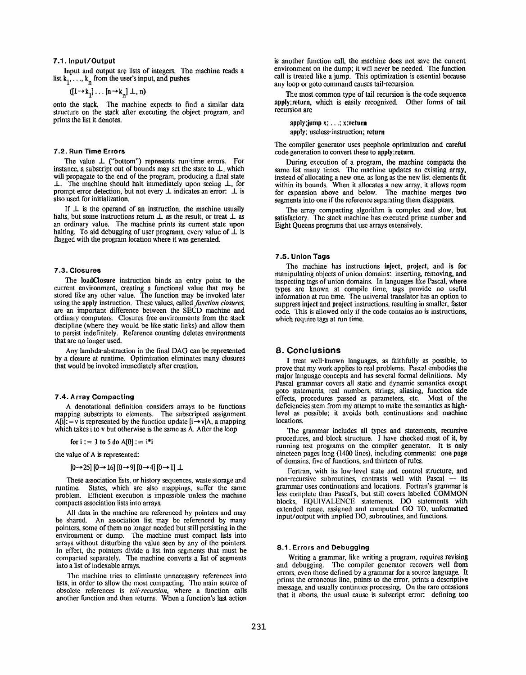## 7.1. Input/Output

Input and output are lists of integers. The machine reads a list  $k_1, \ldots, k_n$  from the user's input, and pushes

$$
([1 \rightarrow k_1], \ldots [n \rightarrow k_n] \perp, n)
$$

onto the stack, The machine expects to find a similar data structure on the stack after executing the object program, and prints the list it denotes.

### 7.2. Run Time Errors

The value  $\perp$  ("bottom") represents run-time errors. For instance, a subscript out of bounds may set the state to  $\perp$ , which will propagate to the end of the program, producing a final state  $\perp$ . The machine should halt immediately upon seeing  $\perp$ , for prompt error detection, but not every  $\perp$  indicates an error:  $\perp$  is also used for initialization.

If  $\perp$  is the operand of an instruction, the machine usually halts, but some instructions return  $\bot$  as the result, or treat  $\bot$  as an ordinary value, The machine prints its current state upon halting. To aid debugging of user programs, every value of  $\dot{\perp}$  is flagged with the program location where it was generated.

### 7.3. Closures

The loadClosure instruction binds an entry point to the current environment, creating a functional value that may be stored like any other value. The function may be invoked later using the apply instruction. These values, called *function closures*, are an important difference between the SECD machine and ordinary computers. Closures free environments from the stack discipline (where they would be like static links) and allow them to persist indefinitely. Reference counting deletes environments that are no longer used.

Any fambda-abstraction in the final DAG can be represented by a closure at runtime. Optimization eliminates many closures that would be invoked immediately after creation.

# 7.4. Array Compacting

A denotational definition considers arrays to be functions mapping subscripts to elements. The subscripted assignmen  $A[i] := v$  is represented by the function update  $[i \rightarrow v]A$ , a mappin which takes i to v but otherwise is the same as A. After the loop

for 
$$
i := 1
$$
 to 5 do A[0] :=  $i^*i$ 

the value of A is represented

 $[0\rightarrow 25]$   $[0\rightarrow 16]$   $[0\rightarrow 9]$   $[0\rightarrow 4]$   $[0\rightarrow 1]$   $\perp$ 

These association lists, or history sequences, waste storage and runtime. States, which are also mappings, suffer the same problem. Efficient execution is impossible unless the machine compacts association lists into arrays.

All data in the machine are referenced by pointers and may be shared. An association list may be referenced by many pointers, some of them no longer needed but still persisting in the environment or dump. The machine must compact lists into arrays without disturbing the value seen by any of the pointers In effect, the pointers divide a list into segments that must be compacted separately. The machine converts a list of segments into a list of indexable arrays.

The machine tries to eliminate unnecessary references into lists, in order to allow the most compacting. '1'hc main source of obsolete references is tail-recursion, where a function calls another function and then returns. When a function's last action is another function call, the machine does not save the current environment on the dump; it will never be needed. The function call is treated tike a jump. This optimization is essential because any loop or goto command causes tail-recursio

The most common type of tail recursion is the code sequence apply;rcturn, which is easily recognized. Other forms of tail recursion are

apply :jump x; ...; x:rcturn apply; useless-instruction; return

The compiler generator uses peephole optimization and careful code generation to convert these to apply; return,

During execution of a program, the machine compacts the same list many times. The machine updates an existing array, instead of allocating a new one, as long as the new list elements fit within its bounds. When it allocates a new array, it allows room for expansion above and below. The machine merges two segments into one if the reference separating them disappears.

The array compacting algorithm is complex and slow, but satisfactory. The stack machine has executed prime number and Eight Queens programs that use arrays extensively.

# 7.5. Union Tags

The machine has instructions inject, project, and is for manipulating objects of union domains: inserting, removing, and inspecting tags of union domains. In languages like Pascal, where types are known at compile time, tags provide no useful information at run time. The universal translator has an option to suppress inject and project instructions, resulting in smaller, faster code. This is allowed only if the code contains no is instructions, which require tags at run time.

### 8. Conclusions

I treat well-known languages, as faithfully as possible, to prove that my work applies to real problems. Pascal embodies the major language concepts and has several formal definitions. My Pascal grammar covers all static and dynamic semantics except goto statements, real numbers, strings, aliasing, function side effects, procedures passed as parameters, etc. Most of the deficiencies stem from my attempt to make the semantica as high-Ievel as possible; it avoids both continuations and machine locations,

The grammar includes all types and statements, recursive procedures, and block structure. I have checked most of it, by running test programs on the compiler generator. It is only nineteen pages long (1400 lines), including comments: one page of domains. five of functions, and thirteen of rules.

Fortran, with its low-level state and control structure, and non-recursive subroutines, contrasts well with Pascal - its grammar uses continuations and locations. Fortran's grammar is less complete than Pascal's, but still covers labelled COMMON blocks, EQUIVALENCE statements, DO statements with extended range. assigned and computed GO TO, unformatted input/output with implied DO, subroutines, and functions.

#### 8.1. Errors and Debugging

Writing a grammar, like writing a program, requires revising and debugging. The compiler generator recovers well from errors, even those defined by a grammar for a source language, It prints the erroneous tine, points to the error, prints a descriptive message, and usually continues processing. On the rare occasions that it aborts, the usual cause is subscript error: defining too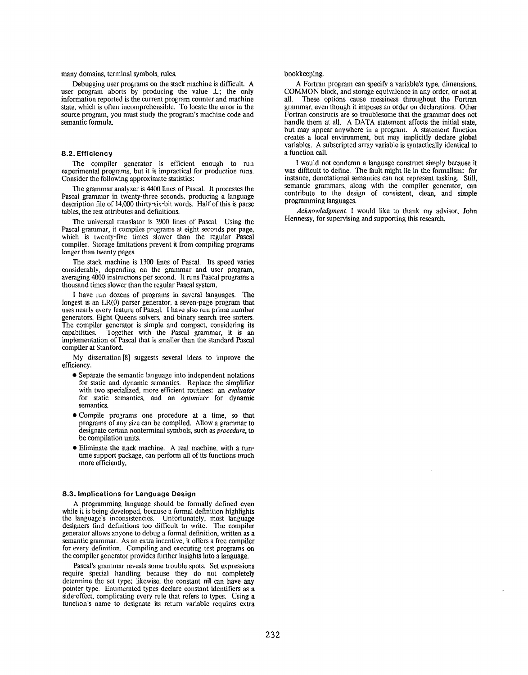#### many domains, terminal symbols, rules.

Debugging user programs on the stack machine is difficult. A user program aborts by producing the value  $\bot$ ; the only information reported is the current program counter and machine state, which is often incomprehensible. To locale the error in the source program, you must study the program's machine code and semantic formula.

# 8.2. Efficiency

The compiler generator is efficient enough to run experimental programs, but it is impractical for production runs. Consider the following approximate statistics:

The grammar analyzer is 4400 lines of Pascal. It processes the Pascal grammar in twenty-three seconds, producing a language description file of 14,000 thirty-six-bit words. Half of this is parse tables, the rest attributes and definitions.

The universal translator is 3900 lines of Pascal. Using the Pascal grammar, it compiles programs at eight seconds per page, which is twenty-five times slower than the regular Pascal compiler. Storage limitations prevent it from compiling programs longer than twenty pages.

The stack machine is 1300 lines of Pascal. Its speed varies considerably, depending on the grammar and user program, averaging 4000 instructions per second. It runs Pascal programs a thousand times slower than the regular Pascal system.

I have run dozens of programs in several languages. The longest is an I.R(O) parser generator, a seven-page program that uses nearly every feature of Pascal. I have also run prime number generators, Eight Queens solvers, and binary search tree sorters. The compiler generator is simple and compact, considering its capabilities. Together with the Pascal grammar, it is an Together with the Pascal grammar, it is an implementation of Pascal that is smaller than the standard Pascal compiler at Stanford.

My dissertation [8] suggests several ideas to improve the efficiency.

- . Separate the semantic language into independent notations for static and dynamic semantics. Replace the simplifier with two specialized, more efficient routines: an evaluator for static semantics, and an optimizer for dynamic semantics.
- Compile programs one procedure at a time, so that programs of any size can be compiled. Allow a grammar to designate certain nonterminal symbols, such as *procedure*, to be compilation units.
- . Eliminate the stack machine. A real machine, with a runtime support package, can perform all of its functions much more efficiently.

#### 8.3. Implications for Language Design

A programming language should be formally defined even while it is being developed, because a formal definition highlights the language's inconsistencies. Unfortunately, most language designers find definitions too difficult to write. The compile generator allows anyone to debug a formal definition, written as a semantic grammar. As an extra incentive, it offers a free compiler for every definition. Compiling and executing test programs on the compiler generator provides further insights into a language.

Pascal's grammar reveals some trouble spots. Set expressions require special handling because they do not completely determine the set type; likewise, the constant nil can have any pointer type, Enumcraled types declare constant identifiers as a side-effect, complicating every rule that refers to types. Using a function's name to designate its return variable requires extra

#### bookkeeping.

A Fortran program can specify a variable's type, dimensions, COMMON block, and storage equivalence in any order, or not at all These options cause messiness throughout the Fortran These options cause messiness throughout the Fortran grammar, even though it imposes an order on declarations. Other Fortran constructs are so troublesome that the grammar does not handle them at all. A DATA statement affects the initial state, but may appear anywhere in a program. A statement function creates a local environment, but may implicitly declare global variables. A subscripted array variable is syntactically identical to a function call.

I would not condemn a language construct simply because it was difficult to define. The fault might lie in the formalism: for instance, denotational semantics can not represent tasking. Still, semantic grammars, along with the compiler generator, can contribute to the design of consistent, clean, and simple programming languages.

Acknowledgment. I would like to thank my advisor, John Hennessy, for supervising and supporting this research.